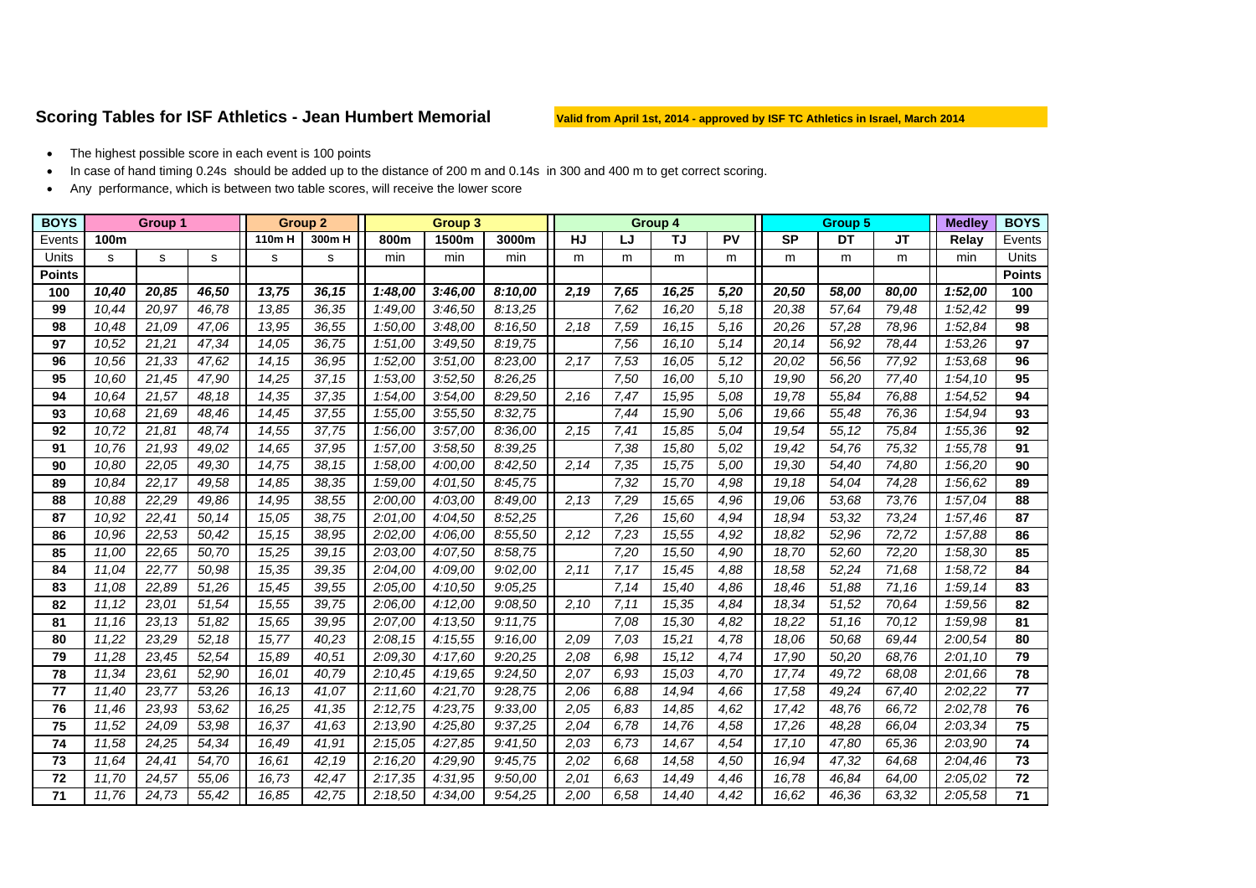## Scoring Tables for ISF Athletics - Jean Humbert Memorial Valid from April 1st, 2014 - approved by ISF TC Athletics in Israel, March 2014

- •The highest possible score in each event is 100 points
- •In case of hand timing 0.24s should be added up to the distance of 200 m and 0.14s in 300 and 400 m to get correct scoring.
- •Any performance, which is between two table scores, will receive the lower score

| <b>BOYS</b>     | <b>Group 1</b> |        |       | <b>Group 2</b> |       | <b>Group 3</b> |         |         |           |      | Group 4   |       |                    | <b>Group 5</b> | <b>Medley</b> | <b>BOYS</b> |               |
|-----------------|----------------|--------|-------|----------------|-------|----------------|---------|---------|-----------|------|-----------|-------|--------------------|----------------|---------------|-------------|---------------|
| Events          | 100m           |        |       | 110m H         | 300mH | 800m           | 1500m   | 3000m   | <b>HJ</b> | LJ   | <b>TJ</b> | PV    | <b>SP</b>          | <b>DT</b>      | JT.           | Relay       | Events        |
| Units           | s              | s      | s     | s              | s     | min            | min     | min     | m         | m    | m         | m     | m                  | m              | m             | min         | <b>Units</b>  |
| <b>Points</b>   |                |        |       |                |       |                |         |         |           |      |           |       |                    |                |               |             | <b>Points</b> |
| 100             | 10,40          | 20,85  | 46,50 | 13,75          | 36,15 | 1:48,00        | 3:46,00 | 8:10.00 | 2,19      | 7,65 | 16,25     | 5,20  | 20,50              | 58,00          | 80,00         | 1:52,00     | 100           |
| 99              | 10.44          | 20.97  | 46,78 | 13,85          | 36,35 | 1:49,00        | 3:46,50 | 8:13,25 |           | 7,62 | 16,20     | 5,18  | 20,38              | 57,64          | 79,48         | 1:52,42     | 99            |
| 98              | 10,48          | 21,09  | 47,06 | 13,95          | 36,55 | 1:50,00        | 3:48,00 | 8:16,50 | 2,18      | 7,59 | 16,15     | 5,16  | 20,26              | 57,28          | 78,96         | 1:52,84     | 98            |
| 97              | 10,52          | 21,21  | 47,34 | 14,05          | 36,75 | 1:51.00        | 3:49,50 | 8:19,75 |           | 7,56 | 16,10     | 5,14  | 20,14              | 56,92          | 78,44         | 1:53,26     | 97            |
| 96              | 10,56          | 21,33  | 47,62 | 14,15          | 36,95 | 1:52,00        | 3:51,00 | 8:23.00 | 2,17      | 7,53 | 16,05     | 5, 12 | 20,02              | 56,56          | 77,92         | 1:53,68     | 96            |
| 95              | 10,60          | 21,45  | 47,90 | 14,25          | 37,15 | 1:53,00        | 3:52,50 | 8:26,25 |           | 7,50 | 16,00     | 5,10  | 19,90              | 56,20          | 77,40         | 1:54,10     | 95            |
| 94              | 10.64          | 21,57  | 48,18 | 14,35          | 37,35 | 1:54,00        | 3:54,00 | 8:29,50 | 2,16      | 7,47 | 15,95     | 5,08  | 19,78              | 55,84          | 76.88         | 1:54,52     | 94            |
| 93              | 10.68          | 21,69  | 48,46 | 14,45          | 37,55 | 1:55,00        | 3:55.50 | 8:32.75 |           | 7,44 | 15,90     | 5.06  | 19,66              | 55,48          | 76,36         | 1:54,94     | 93            |
| 92              | 10,72          | 21,81  | 48,74 | 14,55          | 37,75 | 1:56,00        | 3:57,00 | 8:36,00 | 2,15      | 7,41 | 15,85     | 5.04  | 19,54              | 55,12          | 75,84         | 1:55,36     | 92            |
| 91              | 10.76          | 21,93  | 49,02 | 14,65          | 37,95 | 1:57,00        | 3:58,50 | 8:39,25 |           | 7,38 | 15,80     | 5,02  | 19,42              | 54,76          | 75,32         | 1:55,78     | 91            |
| 90              | 10.80          | 22,05  | 49,30 | 14,75          | 38,15 | 1:58,00        | 4:00.00 | 8:42.50 | 2,14      | 7,35 | 15,75     | 5,00  | 19,30              | 54,40          | 74,80         | 1:56,20     | 90            |
| 89              | 10.84          | 22,17  | 49,58 | 14,85          | 38,35 | 1:59,00        | 4:01.50 | 8:45.75 |           | 7,32 | 15,70     | 4,98  | 19,18              | 54,04          | 74,28         | 1:56.62     | 89            |
| 88              | 10.88          | 22.29  | 49.86 | 14,95          | 38.55 | 2:00,00        | 4:03.00 | 8:49.00 | 2,13      | 7,29 | 15.65     | 4,96  | 19.06              | 53.68          | 73,76         | 1:57.04     | 88            |
| 87              | 10,92          | 22,41  | 50,14 | 15,05          | 38,75 | 2:01,00        | 4:04.50 | 8:52.25 |           | 7,26 | 15,60     | 4,94  | 18,94              | 53,32          | 73,24         | 1:57,46     | 87            |
| 86              | 10.96          | 22,53  | 50,42 | 15,15          | 38.95 | 2:02,00        | 4:06,00 | 8:55.50 | 2,12      | 7,23 | 15,55     | 4,92  | 18.82              | 52.96          | 72.72         | 1:57,88     | 86            |
| 85              | 11.00          | 22,65  | 50,70 | 15,25          | 39,15 | 2:03,00        | 4:07.50 | 8:58,75 |           | 7,20 | 15,50     | 4,90  | $\overline{18,70}$ | 52,60          | 72,20         | 1:58,30     | 85            |
| 84              | 11,04          | 22,77  | 50,98 | 15,35          | 39,35 | 2:04,00        | 4:09.00 | 9:02.00 | 2,11      | 7,17 | 15,45     | 4,88  | 18,58              | 52,24          | 71,68         | 1:58,72     | 84            |
| 83              | 11.08          | 22,89  | 51,26 | 15,45          | 39.55 | 2:05,00        | 4:10.50 | 9:05.25 |           | 7,14 | 15,40     | 4,86  | 18,46              | 51,88          | 71.16         | 1:59.14     | 83            |
| 82              | 11.12          | 23,01  | 51.54 | 15,55          | 39,75 | 2:06,00        | 4:12,00 | 9:08.50 | 2,10      | 7,11 | 15,35     | 4,84  | 18.34              | 51,52          | 70.64         | 1:59.56     | 82            |
| 81              | 11,16          | 23, 13 | 51,82 | 15,65          | 39.95 | 2:07,00        | 4:13.50 | 9:11.75 |           | 7.08 | 15,30     | 4,82  | 18,22              | 51,16          | 70,12         | 1:59.98     | 81            |
| 80              | 11,22          | 23,29  | 52,18 | 15,77          | 40,23 | 2:08,15        | 4:15,55 | 9:16,00 | 2.09      | 7.03 | 15,21     | 4,78  | 18,06              | 50,68          | 69,44         | 2:00,54     | 80            |
| 79              | 11,28          | 23,45  | 52,54 | 15,89          | 40,51 | 2:09.30        | 4:17.60 | 9:20.25 | 2,08      | 6.98 | 15,12     | 4,74  | 17,90              | 50,20          | 68,76         | 2:01,10     | 79            |
| 78              | 11,34          | 23,61  | 52,90 | 16,01          | 40,79 | 2:10,45        | 4:19,65 | 9:24,50 | 2,07      | 6,93 | 15,03     | 4,70  | 17,74              | 49,72          | 68,08         | 2:01,66     | 78            |
| 77              | 11,40          | 23,77  | 53,26 | 16,13          | 41,07 | 2:11,60        | 4:21,70 | 9:28.75 | 2,06      | 6.88 | 14,94     | 4,66  | 17,58              | 49,24          | 67,40         | 2:02,22     | 77            |
| $\overline{76}$ | 11,46          | 23,93  | 53,62 | 16,25          | 41,35 | 2:12,75        | 4:23,75 | 9:33,00 | 2,05      | 6.83 | 14,85     | 4,62  | 17,42              | 48,76          | 66,72         | 2:02,78     | 76            |
| 75              | 11,52          | 24,09  | 53,98 | 16,37          | 41.63 | 2:13,90        | 4:25,80 | 9:37,25 | 2.04      | 6.78 | 14,76     | 4,58  | 17,26              | 48,28          | 66.04         | 2:03.34     | 75            |
| 74              | 11,58          | 24,25  | 54,34 | 16,49          | 41,91 | 2:15,05        | 4:27,85 | 9:41,50 | 2,03      | 6,73 | 14,67     | 4,54  | 17,10              | 47,80          | 65,36         | 2:03,90     | 74            |
| 73              | 11,64          | 24,41  | 54,70 | 16.61          | 42,19 | 2:16,20        | 4:29,90 | 9:45.75 | 2,02      | 6.68 | 14,58     | 4,50  | 16,94              | 47,32          | 64.68         | 2:04,46     | 73            |
| 72              | 11,70          | 24,57  | 55,06 | 16,73          | 42,47 | 2:17,35        | 4:31.95 | 9:50.00 | 2,01      | 6.63 | 14,49     | 4,46  | 16,78              | 46,84          | 64.00         | 2:05,02     | 72            |
| 71              | 11,76          | 24,73  | 55,42 | 16,85          | 42,75 | 2:18,50        | 4:34,00 | 9:54,25 | 2,00      | 6,58 | 14,40     | 4,42  | 16,62              | 46,36          | 63,32         | 2:05,58     | 71            |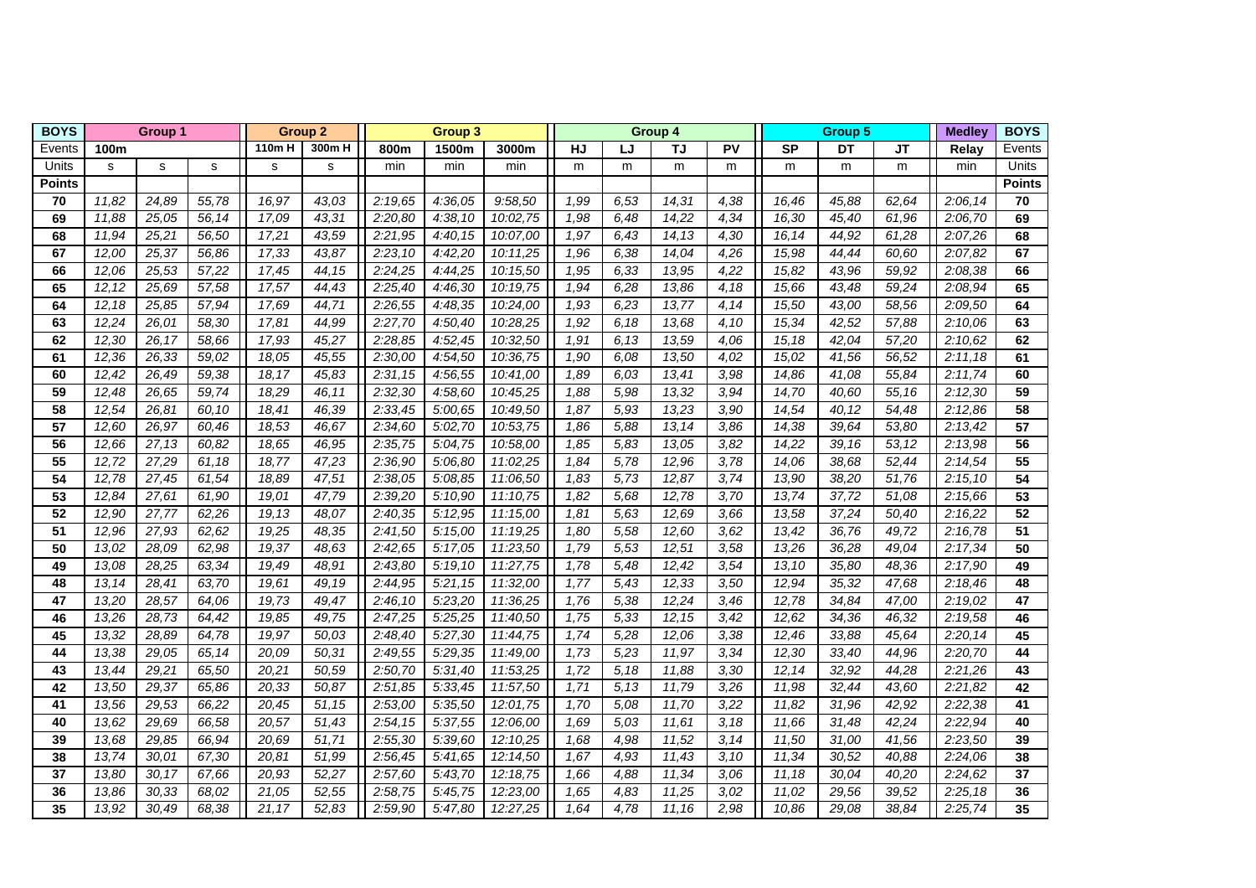| <b>BOYS</b>     | Group 1 |       |        | <b>Group 2</b> |                   | <b>Group 3</b> |                      |           |      |           | Group 4 |           | Group 5 |           |       | <b>Medley</b> | <b>BOYS</b>   |
|-----------------|---------|-------|--------|----------------|-------------------|----------------|----------------------|-----------|------|-----------|---------|-----------|---------|-----------|-------|---------------|---------------|
| Events          | 100m    |       | 110m H | 300m H         | 800m              | 1500m          | 3000m                | <b>HJ</b> | LJ   | <b>TJ</b> | PV      | <b>SP</b> | DT      | <b>JT</b> | Relay | Events        |               |
| Units           | s       | s     | s      | s              | s                 | min            | min                  | min       | m    | m         | m       | m         | m       | m         | m     | min           | <b>Units</b>  |
| Points          |         |       |        |                |                   |                |                      |           |      |           |         |           |         |           |       |               | <b>Points</b> |
| 70              | 11,82   | 24,89 | 55,78  | 16,97          | 43,03             | 2:19,65        | 4:36,05              | 9:58,50   | 1,99 | 6,53      | 14,31   | 4,38      | 16,46   | 45,88     | 62,64 | 2:06,14       | 70            |
| 69              | 11,88   | 25,05 | 56,14  | 17,09          | 43,31             | 2:20,80        | 4:38,10              | 10:02,75  | 1,98 | 6,48      | 14,22   | 4,34      | 16,30   | 45,40     | 61.96 | 2:06,70       | 69            |
| 68              | 11,94   | 25,21 | 56,50  | 17,21          | 43,59             | 2:21,95        | 4:40,15              | 10:07,00  | 1,97 | 6,43      | 14, 13  | 4,30      | 16, 14  | 44,92     | 61,28 | 2:07,26       | 68            |
| 67              | 12,00   | 25,37 | 56,86  | 17,33          | 43,87             | 2:23,10        | 4:42,20              | 10:11.25  | 1,96 | 6,38      | 14,04   | 4,26      | 15,98   | 44,44     | 60,60 | 2:07,82       | 67            |
| 66              | 12,06   | 25,53 | 57,22  | 17,45          | 44,15             | 2:24,25        | 4:44,25              | 10:15,50  | 1,95 | 6,33      | 13,95   | 4,22      | 15,82   | 43,96     | 59,92 | 2:08,38       | 66            |
| 65              | 12, 12  | 25,69 | 57,58  | 17,57          | 44,43             | 2:25,40        | 4:46,30              | 10:19,75  | 1,94 | 6,28      | 13,86   | 4,18      | 15,66   | 43,48     | 59,24 | 2:08,94       | 65            |
| 64              | 12,18   | 25,85 | 57,94  | 17,69          | 44,71             | 2:26,55        | 4:48,35              | 10:24,00  | 1,93 | 6.23      | 13,77   | 4,14      | 15,50   | 43,00     | 58,56 | 2:09.50       | 64            |
| 63              | 12,24   | 26,01 | 58,30  | 17,81          | 44,99             | 2:27,70        | 4:50,40              | 10:28,25  | 1,92 | 6.18      | 13,68   | 4,10      | 15,34   | 42,52     | 57,88 | 2:10.06       | 63            |
| 62              | 12,30   | 26,17 | 58,66  | 17,93          | 45,27             | 2:28,85        | 4:52,45              | 10:32,50  | 1,91 | 6.13      | 13,59   | 4,06      | 15,18   | 42,04     | 57,20 | 2:10.62       | 62            |
| 61              | 12,36   | 26,33 | 59,02  | 18,05          | 45,55             | 2:30,00        | $\overline{4:}54,50$ | 10:36,75  | 1,90 | 6,08      | 13,50   | 4,02      | 15,02   | 41,56     | 56,52 | 2:11,18       | 61            |
| 60              | 12,42   | 26,49 | 59,38  | 18,17          | 45,83             | 2:31,15        | 4:56,55              | 10:41,00  | 1,89 | 6,03      | 13,41   | 3,98      | 14,86   | 41,08     | 55,84 | 2:11,74       | 60            |
| 59              | 12,48   | 26,65 | 59,74  | 18,29          | 46,11             | 2:32,30        | 4:58,60              | 10:45,25  | 1,88 | 5,98      | 13,32   | 3,94      | 14,70   | 40,60     | 55,16 | 2:12,30       | 59            |
| 58              | 12,54   | 26,81 | 60,10  | 18,41          | 46,39             | 2:33,45        | 5:00,65              | 10:49,50  | 1,87 | 5,93      | 13,23   | 3,90      | 14,54   | 40,12     | 54,48 | 2:12,86       | 58            |
| $\overline{57}$ | 12,60   | 26,97 | 60,46  | 18,53          | 46.67             | 2:34,60        | 5:02,70              | 10:53,75  | 1,86 | 5,88      | 13,14   | 3,86      | 14,38   | 39,64     | 53,80 | 2:13,42       | 57            |
| $\overline{56}$ | 12,66   | 27,13 | 60,82  | 18,65          | 46,95             | 2:35,75        | 5:04,75              | 10:58,00  | 1,85 | 5,83      | 13,05   | 3,82      | 14,22   | 39,16     | 53,12 | 2:13,98       | 56            |
| 55              | 12,72   | 27,29 | 61,18  | 18,77          | 47,23             | 2:36,90        | 5:06,80              | 11:02,25  | 1,84 | 5,78      | 12,96   | 3,78      | 14,06   | 38,68     | 52,44 | 2:14,54       | 55            |
| 54              | 12,78   | 27,45 | 61,54  | 18,89          | 47,51             | 2:38,05        | 5:08,85              | 11:06.50  | 1,83 | 5,73      | 12,87   | 3,74      | 13,90   | 38,20     | 51,76 | 2:15,10       | 54            |
| 53              | 12,84   | 27,61 | 61,90  | 19,01          | 47,79             | 2:39,20        | 5:10,90              | 11:10.75  | 1,82 | 5,68      | 12,78   | 3,70      | 13,74   | 37,72     | 51,08 | 2:15,66       | 53            |
| 52              | 12,90   | 27,77 | 62,26  | 19,13          | 48,07             | 2:40.35        | 5:12,95              | 11:15.00  | 1,81 | 5,63      | 12,69   | 3,66      | 13,58   | 37,24     | 50,40 | 2:16.22       | 52            |
| 51              | 12,96   | 27,93 | 62,62  | 19,25          | 48,35             | 2:41,50        | 5:15,00              | 11:19,25  | 1,80 | 5,58      | 12,60   | 3,62      | 13,42   | 36,76     | 49,72 | 2:16,78       | 51            |
| 50              | 13,02   | 28,09 | 62,98  | 19,37          | 48,63             | 2:42,65        | 5:17,05              | 11:23,50  | 1,79 | 5,53      | 12,51   | 3,58      | 13,26   | 36,28     | 49,04 | 2:17,34       | 50            |
| 49              | 13,08   | 28,25 | 63,34  | 19,49          | 48,91             | 2:43,80        | 5:19,10              | 11:27,75  | 1,78 | 5,48      | 12,42   | 3,54      | 13,10   | 35,80     | 48,36 | 2:17,90       | 49            |
| 48              | 13,14   | 28,41 | 63,70  | 19,61          | 49,19             | 2:44,95        | 5:21,15              | 11:32,00  | 1,77 | 5,43      | 12,33   | 3,50      | 12,94   | 35,32     | 47,68 | 2:18,46       | 48            |
| $\overline{47}$ | 13,20   | 28,57 | 64,06  | 19,73          | 49,47             | 2:46,10        | 5:23,20              | 11:36,25  | 1,76 | 5,38      | 12,24   | 3,46      | 12,78   | 34,84     | 47,00 | 2:19,02       | 47            |
| 46              | 13,26   | 28,73 | 64,42  | 19,85          | 49,75             | 2:47,25        | 5:25,25              | 11:40,50  | 1,75 | 5,33      | 12, 15  | 3,42      | 12,62   | 34,36     | 46,32 | 2:19,58       | 46            |
| 45              | 13,32   | 28,89 | 64,78  | 19,97          | 50,03             | 2:48,40        | 5:27,30              | 11:44,75  | 1,74 | 5,28      | 12,06   | 3,38      | 12,46   | 33,88     | 45,64 | 2:20,14       | 45            |
| 44              | 13,38   | 29,05 | 65,14  | 20,09          | 50,31             | 2:49,55        | 5:29,35              | 11:49,00  | 1,73 | 5,23      | 11,97   | 3,34      | 12,30   | 33,40     | 44,96 | 2:20,70       | 44            |
| 43              | 13,44   | 29,21 | 65,50  | 20,21          | 50,59             | 2:50,70        | 5:31,40              | 11:53,25  | 1,72 | 5,18      | 11,88   | 3,30      | 12, 14  | 32,92     | 44,28 | 2:21.26       | 43            |
| 42              | 13.50   | 29,37 | 65,86  | 20,33          | 50,87             | 2:51,85        | 5:33,45              | 11:57.50  | 1,71 | 5,13      | 11,79   | 3,26      | 11,98   | 32,44     | 43.60 | 2:21.82       | 42            |
| 41              | 13.56   | 29.53 | 66.22  | 20,45          | $\frac{1}{51,15}$ | 2:53,00        | 5:35,50              | 12:01.75  | 1,70 | 5,08      | 11,70   | 3,22      | 11,82   | 31,96     | 42,92 | 2:22,38       | 41            |
| 40              | 13,62   | 29,69 | 66,58  | 20,57          | 51,43             | 2:54,15        | 5:37,55              | 12:06.00  | 1,69 | 5,03      | 11,61   | 3,18      | 11,66   | 31,48     | 42,24 | 2:22,94       | 40            |
| 39              | 13,68   | 29,85 | 66,94  | 20,69          | 51,71             | 2:55,30        | 5:39,60              | 12:10,25  | 1,68 | 4,98      | 11,52   | 3,14      | 11,50   | 31,00     | 41,56 | 2:23,50       | 39            |
| 38              | 13,74   | 30,01 | 67,30  | 20,81          | 51,99             | 2:56,45        | 5:41,65              | 12:14,50  | 1,67 | 4,93      | 11,43   | 3,10      | 11,34   | 30,52     | 40,88 | 2:24,06       | 38            |
| $\overline{37}$ | 13,80   | 30,17 | 67,66  | 20,93          | 52,27             | 2:57,60        | 5:43,70              | 12:18,75  | 1,66 | 4,88      | 11,34   | 3,06      | 11,18   | 30,04     | 40,20 | 2:24,62       | 37            |
| 36              | 13,86   | 30,33 | 68,02  | 21,05          | 52,55             | 2:58,75        | 5:45,75              | 12:23,00  | 1,65 | 4,83      | 11,25   | 3,02      | 11,02   | 29,56     | 39,52 | 2:25,18       | 36            |
| 35              | 13,92   | 30,49 | 68,38  | 21,17          | 52,83             | 2:59,90        | 5:47,80              | 12:27,25  | 1,64 | 4,78      | 11,16   | 2,98      | 10,86   | 29,08     | 38,84 | 2:25,74       | 35            |